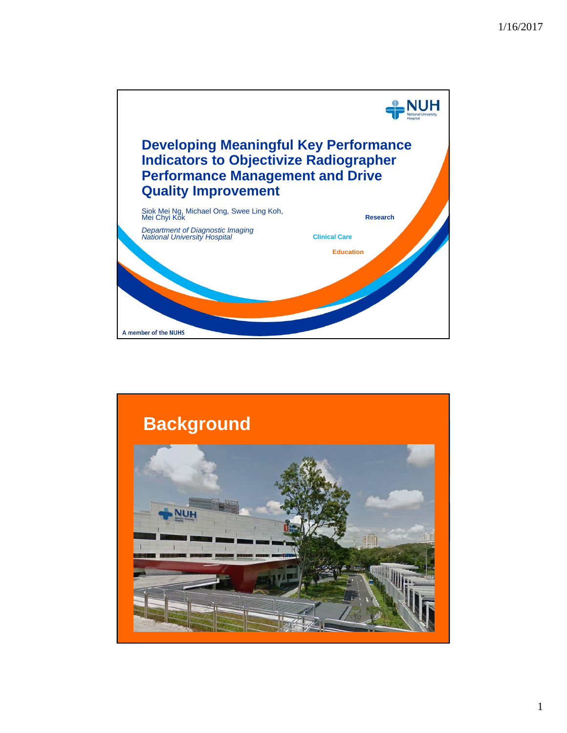

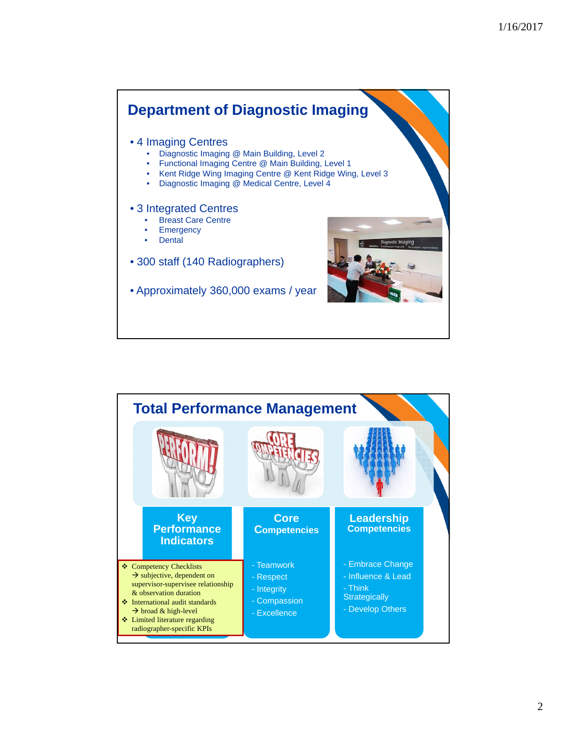

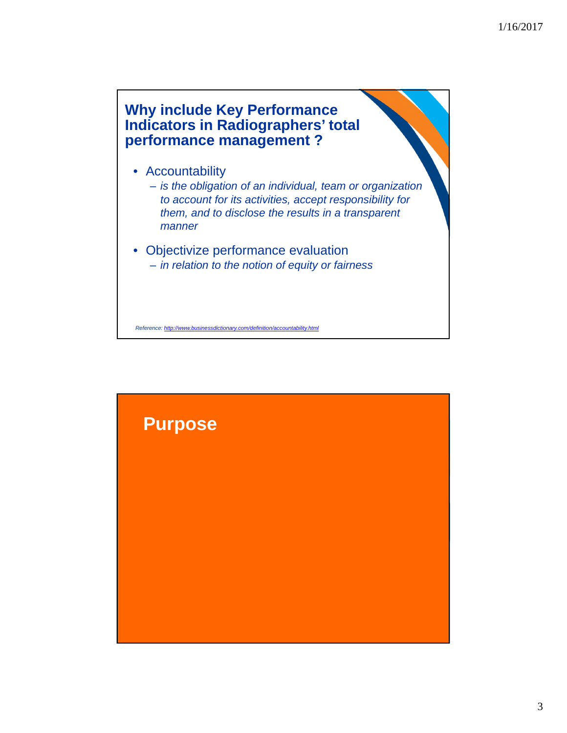# **Why include Key Performance Indicators in Radiographers' total performance management ?**

- Accountability
	- *is the obligation of an individual, team or organization to account for its activities, accept responsibility for them, and to disclose the results in a transparent manner*
- Objectivize performance evaluation – *in relation to the notion of equity or fairness*

*Reference: http://www.businessdictionary.com/definition/accountability.html*

# **Purpose**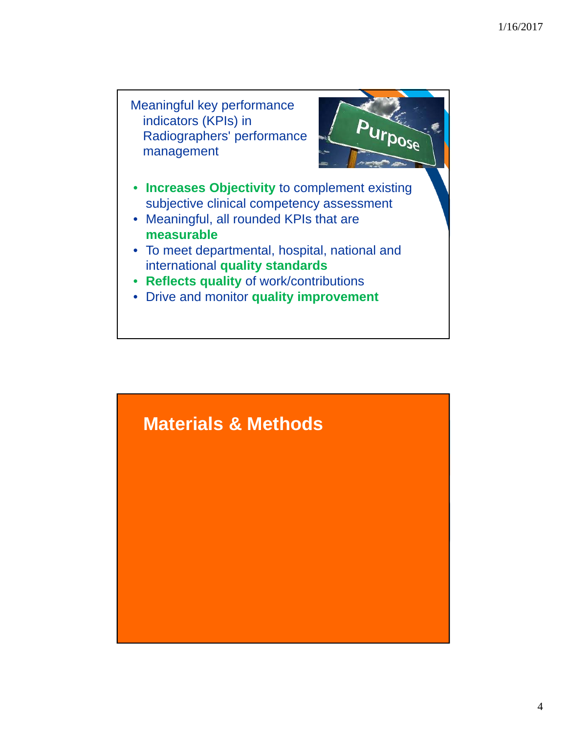

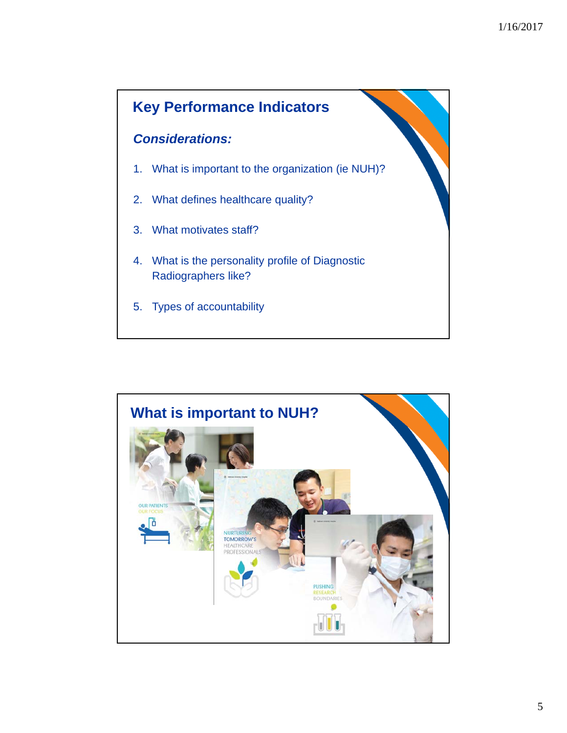

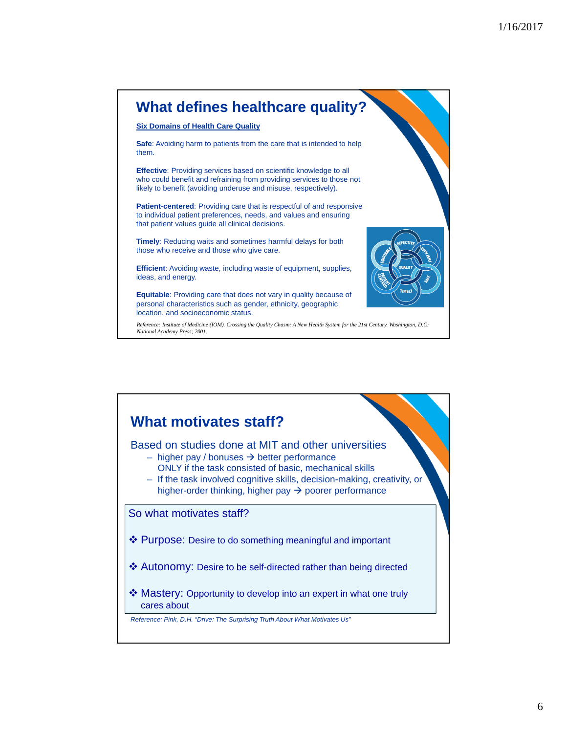# **What defines healthcare quality?**

### **Six Domains of Health Care Quality**

**Safe**: Avoiding harm to patients from the care that is intended to help them.

**Effective**: Providing services based on scientific knowledge to all who could benefit and refraining from providing services to those not likely to benefit (avoiding underuse and misuse, respectively).

**Patient-centered**: Providing care that is respectful of and responsive to individual patient preferences, needs, and values and ensuring that patient values guide all clinical decisions.

**Timely**: Reducing waits and sometimes harmful delays for both those who receive and those who give care.

**Efficient**: Avoiding waste, including waste of equipment, supplies, ideas, and energy.

**Equitable**: Providing care that does not vary in quality because of personal characteristics such as gender, ethnicity, geographic location, and socioeconomic status.



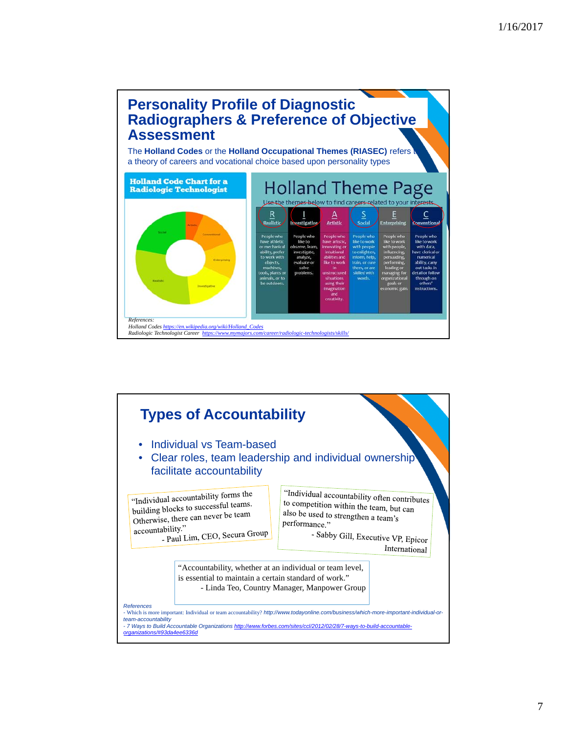



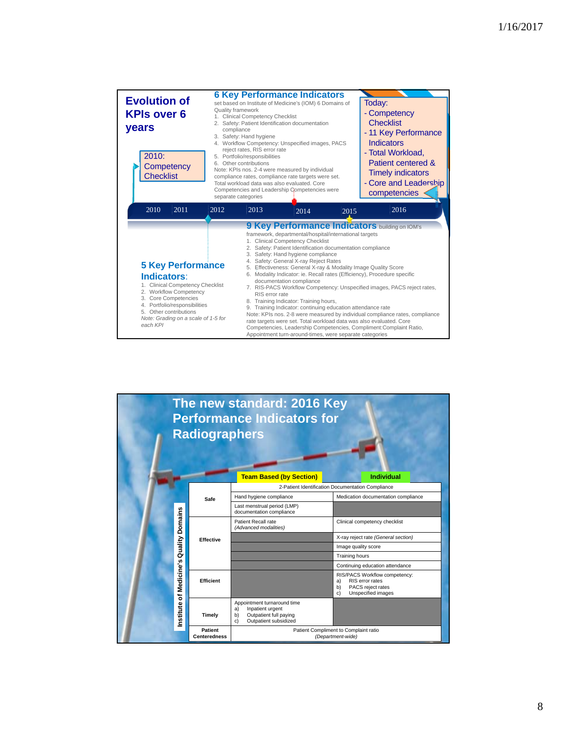| <b>Evolution of</b><br><b>KPIs over 6</b><br>years<br>2010:<br>Competency<br><b>Checklist</b>       | <b>6 Key Performance Indicators</b><br>set based on Institute of Medicine's (IOM) 6 Domains of<br>Quality framework<br>1. Clinical Competency Checklist<br>2. Safety: Patient Identification documentation<br>compliance<br>3. Safety: Hand hygiene<br>4. Workflow Competency: Unspecified images, PACS<br>reject rates, RIS error rate<br>5. Portfolio/responsibilities<br>6. Other contributions<br>Note: KPIs nos. 2-4 were measured by individual<br>compliance rates, compliance rate targets were set.<br>Total workload data was also evaluated. Core<br>Competencies and Leadership Qompetencies were<br>separate categories |      |      | Today:<br>- Competency<br><b>Checklist</b><br>- 11 Key Performance<br><b>Indicators</b><br>- Total Workload,<br>Patient centered &<br><b>Timely indicators</b><br>- Core and Leadership<br>competencies                                                                                                                                                                                                                                                                                                                                                                                                                                                                                                                                                                                                                                                                                                                                                           |      |  |  |
|-----------------------------------------------------------------------------------------------------|--------------------------------------------------------------------------------------------------------------------------------------------------------------------------------------------------------------------------------------------------------------------------------------------------------------------------------------------------------------------------------------------------------------------------------------------------------------------------------------------------------------------------------------------------------------------------------------------------------------------------------------|------|------|-------------------------------------------------------------------------------------------------------------------------------------------------------------------------------------------------------------------------------------------------------------------------------------------------------------------------------------------------------------------------------------------------------------------------------------------------------------------------------------------------------------------------------------------------------------------------------------------------------------------------------------------------------------------------------------------------------------------------------------------------------------------------------------------------------------------------------------------------------------------------------------------------------------------------------------------------------------------|------|--|--|
| 2011<br>2010                                                                                        | 2012                                                                                                                                                                                                                                                                                                                                                                                                                                                                                                                                                                                                                                 | 2013 | 2014 | 2015                                                                                                                                                                                                                                                                                                                                                                                                                                                                                                                                                                                                                                                                                                                                                                                                                                                                                                                                                              | 2016 |  |  |
| Indicators:<br>2. Workflow Competency<br>3. Core Competencies<br>5. Other contributions<br>each KPI | <b>5 Key Performance</b><br>1. Clinical Competency Checklist<br>4. Portfolio/responsibilities<br>Note: Grading on a scale of 1-5 for                                                                                                                                                                                                                                                                                                                                                                                                                                                                                                 |      |      | 9 Key Performance Indicators building on IOM's<br>framework, departmental/hospital/international targets<br>1. Clinical Competency Checklist<br>2. Safety: Patient Identification documentation compliance<br>3. Safety: Hand hygiene compliance<br>4. Safety: General X-ray Reject Rates<br>5. Effectiveness: General X-ray & Modality Image Quality Score<br>6. Modality Indicator: ie. Recall rates (Efficiency), Procedure specific<br>documentation compliance<br>7. RIS-PACS Workflow Competency: Unspecified images, PACS reject rates,<br>RIS error rate<br>8. Training Indicator: Training hours,<br>9. Training Indicator: continuing education attendance rate<br>Note: KPIs nos. 2-8 were measured by individual compliance rates, compliance<br>rate targets were set. Total workload data was also evaluated. Core<br>Competencies, Leadership Competencies, Compliment:Complaint Ratio,<br>Appointment turn-around-times, were separate categories |      |  |  |

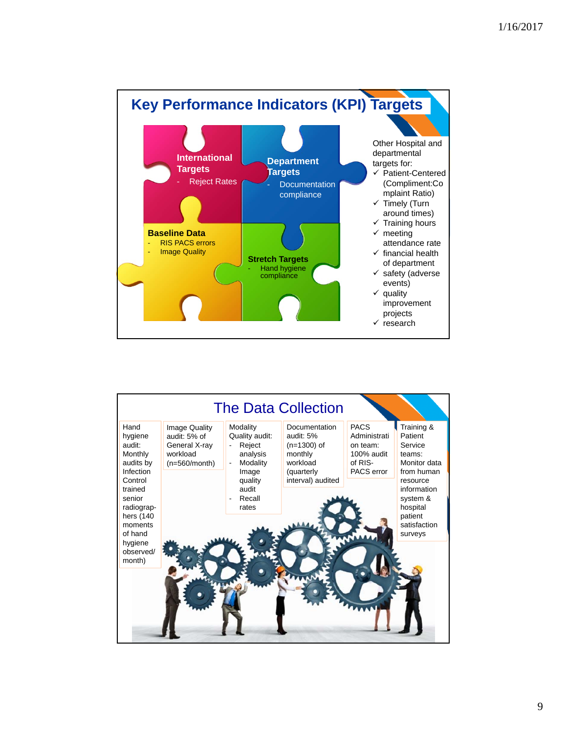

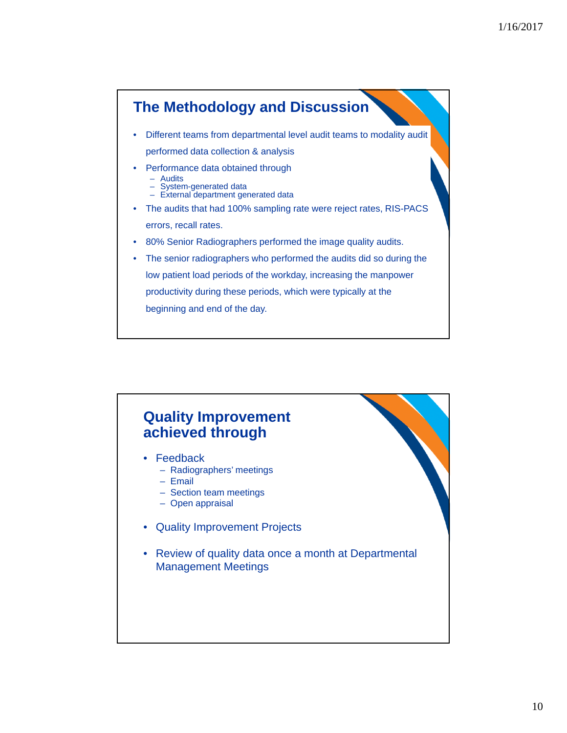

# **Quality Improvement achieved through**

- **Feedback** 
	- Radiographers' meetings
	- Email
	- Section team meetings
	- Open appraisal
- Quality Improvement Projects
- Review of quality data once a month at Departmental Management Meetings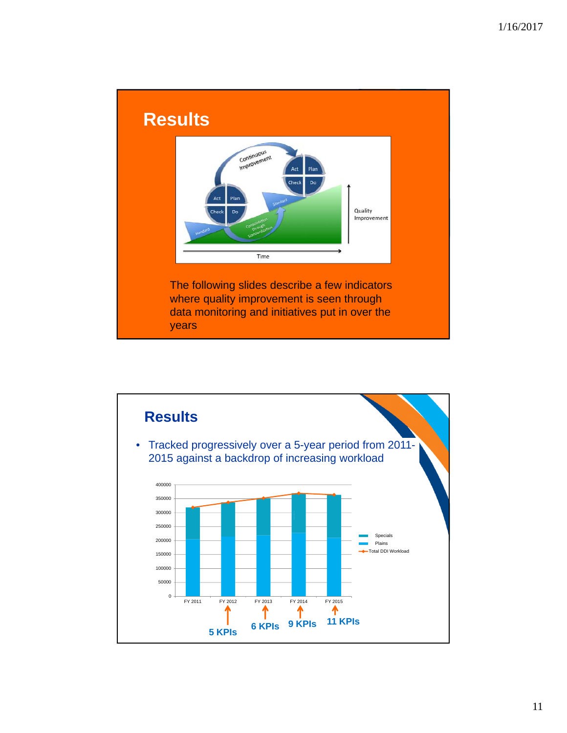

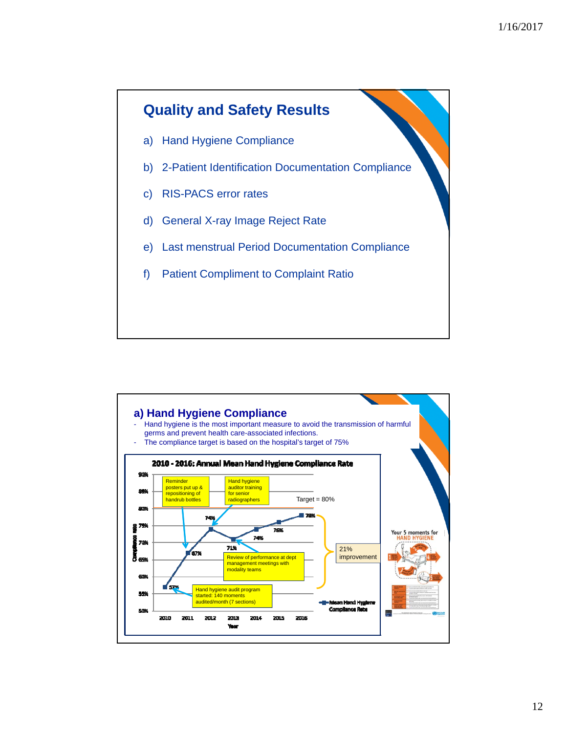

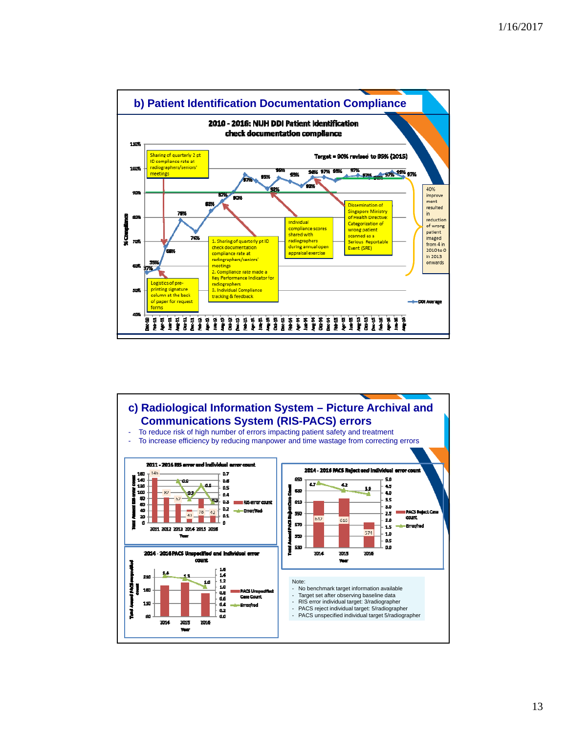

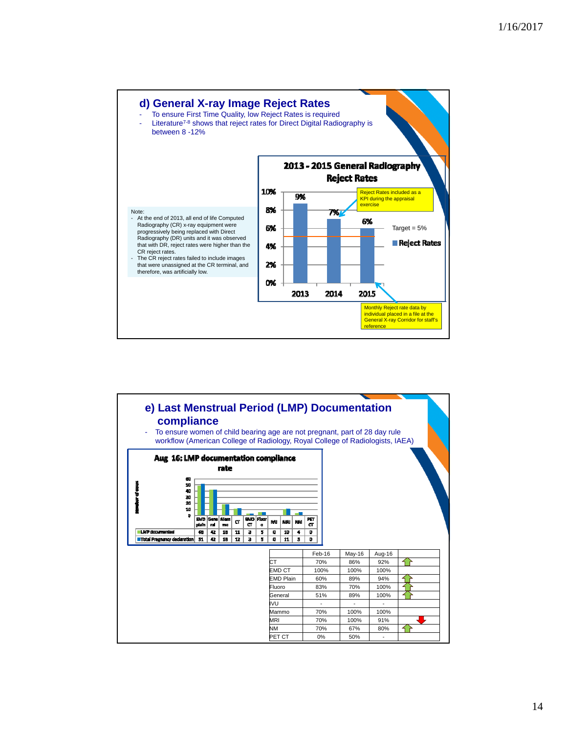

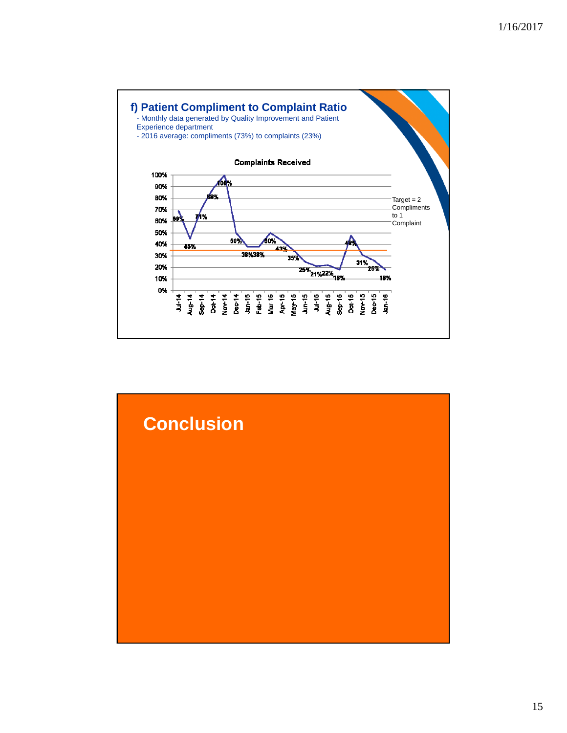

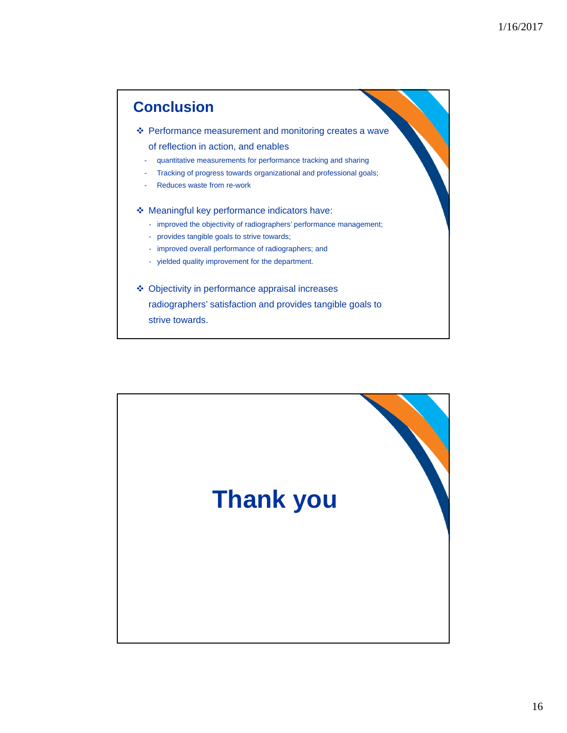# Performance measurement and monitoring creates a wave of reflection in action, and enables - quantitative measurements for performance tracking and sharing - Tracking of progress towards organizational and professional goals; Reduces waste from re-work Meaningful key performance indicators have: - improved the objectivity of radiographers' performance management; - provides tangible goals to strive towards; - improved overall performance of radiographers; and - yielded quality improvement for the department. Objectivity in performance appraisal increases radiographers' satisfaction and provides tangible goals to strive towards. **Conclusion**